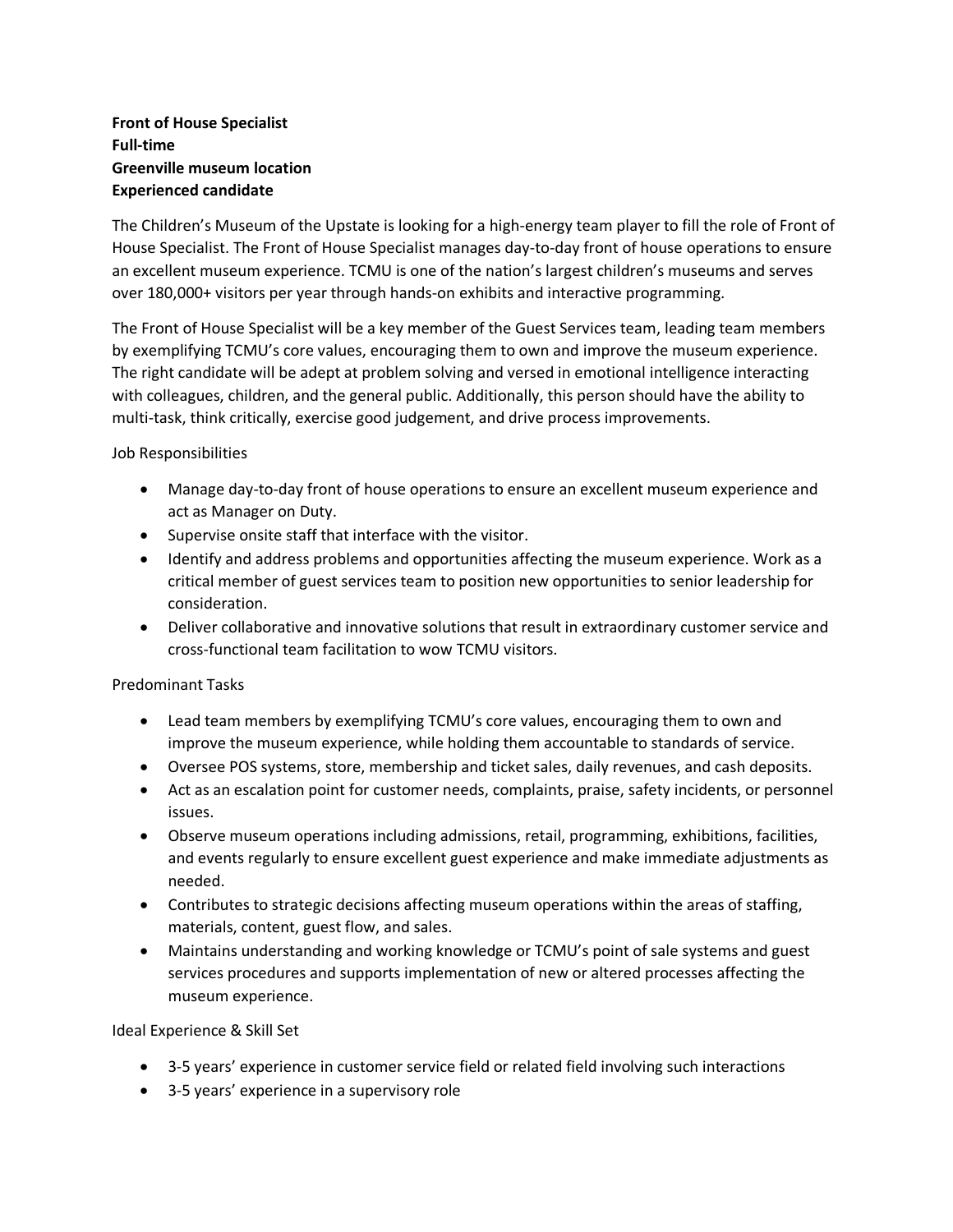## **Front of House Specialist Full-time Greenville museum location Experienced candidate**

The Children's Museum of the Upstate is looking for a high-energy team player to fill the role of Front of House Specialist. The Front of House Specialist manages day-to-day front of house operations to ensure an excellent museum experience. TCMU is one of the nation's largest children's museums and serves over 180,000+ visitors per year through hands-on exhibits and interactive programming.

The Front of House Specialist will be a key member of the Guest Services team, leading team members by exemplifying TCMU's core values, encouraging them to own and improve the museum experience. The right candidate will be adept at problem solving and versed in emotional intelligence interacting with colleagues, children, and the general public. Additionally, this person should have the ability to multi-task, think critically, exercise good judgement, and drive process improvements.

Job Responsibilities

- Manage day-to-day front of house operations to ensure an excellent museum experience and act as Manager on Duty.
- Supervise onsite staff that interface with the visitor.
- Identify and address problems and opportunities affecting the museum experience. Work as a critical member of guest services team to position new opportunities to senior leadership for consideration.
- Deliver collaborative and innovative solutions that result in extraordinary customer service and cross-functional team facilitation to wow TCMU visitors.

Predominant Tasks

- Lead team members by exemplifying TCMU's core values, encouraging them to own and improve the museum experience, while holding them accountable to standards of service.
- Oversee POS systems, store, membership and ticket sales, daily revenues, and cash deposits.
- Act as an escalation point for customer needs, complaints, praise, safety incidents, or personnel issues.
- Observe museum operations including admissions, retail, programming, exhibitions, facilities, and events regularly to ensure excellent guest experience and make immediate adjustments as needed.
- Contributes to strategic decisions affecting museum operations within the areas of staffing, materials, content, guest flow, and sales.
- Maintains understanding and working knowledge or TCMU's point of sale systems and guest services procedures and supports implementation of new or altered processes affecting the museum experience.

Ideal Experience & Skill Set

- 3-5 years' experience in customer service field or related field involving such interactions
- 3-5 years' experience in a supervisory role